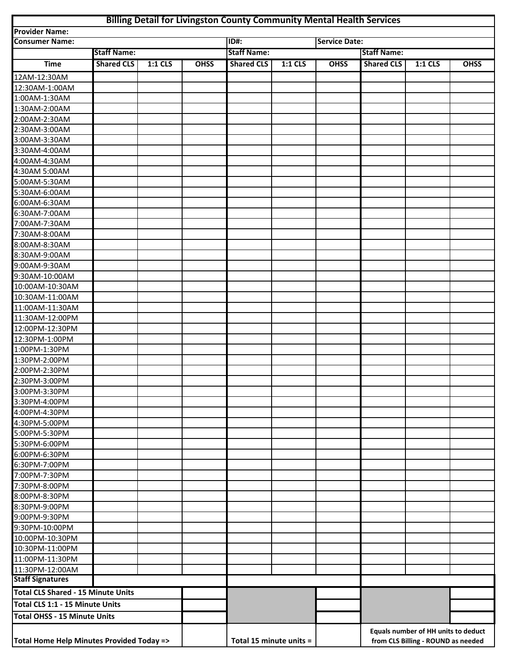## **Billing Detail for Livingston County Community Mental Health Services**

|                                           |                    |         |                         | Billing Detail for Livingston County Community Mental Health Services |         |                                                                           |                    |         |             |
|-------------------------------------------|--------------------|---------|-------------------------|-----------------------------------------------------------------------|---------|---------------------------------------------------------------------------|--------------------|---------|-------------|
| <b>Provider Name:</b>                     |                    |         |                         |                                                                       |         |                                                                           |                    |         |             |
| <b>Consumer Name:</b>                     |                    |         |                         | <b>ID#:</b>                                                           |         | <b>Service Date:</b>                                                      |                    |         |             |
|                                           | <b>Staff Name:</b> |         |                         | <b>Staff Name:</b>                                                    |         |                                                                           | <b>Staff Name:</b> |         |             |
| <b>Time</b>                               | <b>Shared CLS</b>  | 1:1 CLS | <b>OHSS</b>             | <b>Shared CLS</b>                                                     | 1:1 CLS | <b>OHSS</b>                                                               | <b>Shared CLS</b>  | 1:1 CLS | <b>OHSS</b> |
| 12AM-12:30AM                              |                    |         |                         |                                                                       |         |                                                                           |                    |         |             |
| 12:30AM-1:00AM                            |                    |         |                         |                                                                       |         |                                                                           |                    |         |             |
| 1:00AM-1:30AM                             |                    |         |                         |                                                                       |         |                                                                           |                    |         |             |
| 1:30AM-2:00AM                             |                    |         |                         |                                                                       |         |                                                                           |                    |         |             |
| 2:00AM-2:30AM                             |                    |         |                         |                                                                       |         |                                                                           |                    |         |             |
| 2:30AM-3:00AM                             |                    |         |                         |                                                                       |         |                                                                           |                    |         |             |
| 3:00AM-3:30AM                             |                    |         |                         |                                                                       |         |                                                                           |                    |         |             |
| 3:30AM-4:00AM                             |                    |         |                         |                                                                       |         |                                                                           |                    |         |             |
| 4:00AM-4:30AM                             |                    |         |                         |                                                                       |         |                                                                           |                    |         |             |
| 4:30AM 5:00AM                             |                    |         |                         |                                                                       |         |                                                                           |                    |         |             |
| 5:00AM-5:30AM                             |                    |         |                         |                                                                       |         |                                                                           |                    |         |             |
| 5:30AM-6:00AM                             |                    |         |                         |                                                                       |         |                                                                           |                    |         |             |
| 6:00AM-6:30AM                             |                    |         |                         |                                                                       |         |                                                                           |                    |         |             |
| 6:30AM-7:00AM                             |                    |         |                         |                                                                       |         |                                                                           |                    |         |             |
| 7:00AM-7:30AM                             |                    |         |                         |                                                                       |         |                                                                           |                    |         |             |
| 7:30AM-8:00AM                             |                    |         |                         |                                                                       |         |                                                                           |                    |         |             |
| 8:00AM-8:30AM                             |                    |         |                         |                                                                       |         |                                                                           |                    |         |             |
| 8:30AM-9:00AM                             |                    |         |                         |                                                                       |         |                                                                           |                    |         |             |
| 9:00AM-9:30AM                             |                    |         |                         |                                                                       |         |                                                                           |                    |         |             |
| 9:30AM-10:00AM                            |                    |         |                         |                                                                       |         |                                                                           |                    |         |             |
| 10:00AM-10:30AM                           |                    |         |                         |                                                                       |         |                                                                           |                    |         |             |
| 10:30AM-11:00AM                           |                    |         |                         |                                                                       |         |                                                                           |                    |         |             |
| 11:00AM-11:30AM                           |                    |         |                         |                                                                       |         |                                                                           |                    |         |             |
| 11:30AM-12:00PM                           |                    |         |                         |                                                                       |         |                                                                           |                    |         |             |
| 12:00PM-12:30PM                           |                    |         |                         |                                                                       |         |                                                                           |                    |         |             |
| 12:30PM-1:00PM                            |                    |         |                         |                                                                       |         |                                                                           |                    |         |             |
| 1:00PM-1:30PM                             |                    |         |                         |                                                                       |         |                                                                           |                    |         |             |
| 1:30PM-2:00PM                             |                    |         |                         |                                                                       |         |                                                                           |                    |         |             |
| 2:00PM-2:30PM                             |                    |         |                         |                                                                       |         |                                                                           |                    |         |             |
| 2:30PM-3:00PM                             |                    |         |                         |                                                                       |         |                                                                           |                    |         |             |
| 3:00PM-3:30PM                             |                    |         |                         |                                                                       |         |                                                                           |                    |         |             |
| 3:30PM-4:00PM                             |                    |         |                         |                                                                       |         |                                                                           |                    |         |             |
| 4:00PM-4:30PM                             |                    |         |                         |                                                                       |         |                                                                           |                    |         |             |
| 4:30PM-5:00PM                             |                    |         |                         |                                                                       |         |                                                                           |                    |         |             |
| 5:00PM-5:30PM                             |                    |         |                         |                                                                       |         |                                                                           |                    |         |             |
| 5:30PM-6:00PM                             |                    |         |                         |                                                                       |         |                                                                           |                    |         |             |
| 6:00PM-6:30PM                             |                    |         |                         |                                                                       |         |                                                                           |                    |         |             |
| 6:30PM-7:00PM                             |                    |         |                         |                                                                       |         |                                                                           |                    |         |             |
| 7:00PM-7:30PM                             |                    |         |                         |                                                                       |         |                                                                           |                    |         |             |
| 7:30PM-8:00PM                             |                    |         |                         |                                                                       |         |                                                                           |                    |         |             |
| 8:00PM-8:30PM                             |                    |         |                         |                                                                       |         |                                                                           |                    |         |             |
| 8:30PM-9:00PM                             |                    |         |                         |                                                                       |         |                                                                           |                    |         |             |
| 9:00PM-9:30PM                             |                    |         |                         |                                                                       |         |                                                                           |                    |         |             |
| 9:30PM-10:00PM                            |                    |         |                         |                                                                       |         |                                                                           |                    |         |             |
| 10:00PM-10:30PM                           |                    |         |                         |                                                                       |         |                                                                           |                    |         |             |
| 10:30PM-11:00PM                           |                    |         |                         |                                                                       |         |                                                                           |                    |         |             |
| 11:00PM-11:30PM                           |                    |         |                         |                                                                       |         |                                                                           |                    |         |             |
| 11:30PM-12:00AM                           |                    |         |                         |                                                                       |         |                                                                           |                    |         |             |
| <b>Staff Signatures</b>                   |                    |         |                         |                                                                       |         |                                                                           |                    |         |             |
| <b>Total CLS Shared - 15 Minute Units</b> |                    |         |                         |                                                                       |         |                                                                           |                    |         |             |
| Total CLS 1:1 - 15 Minute Units           |                    |         |                         |                                                                       |         |                                                                           |                    |         |             |
| <b>Total OHSS - 15 Minute Units</b>       |                    |         |                         |                                                                       |         |                                                                           |                    |         |             |
|                                           |                    |         |                         |                                                                       |         |                                                                           |                    |         |             |
| Total Home Help Minutes Provided Today => |                    |         | Total 15 minute units = |                                                                       |         | Equals number of HH units to deduct<br>from CLS Billing - ROUND as needed |                    |         |             |